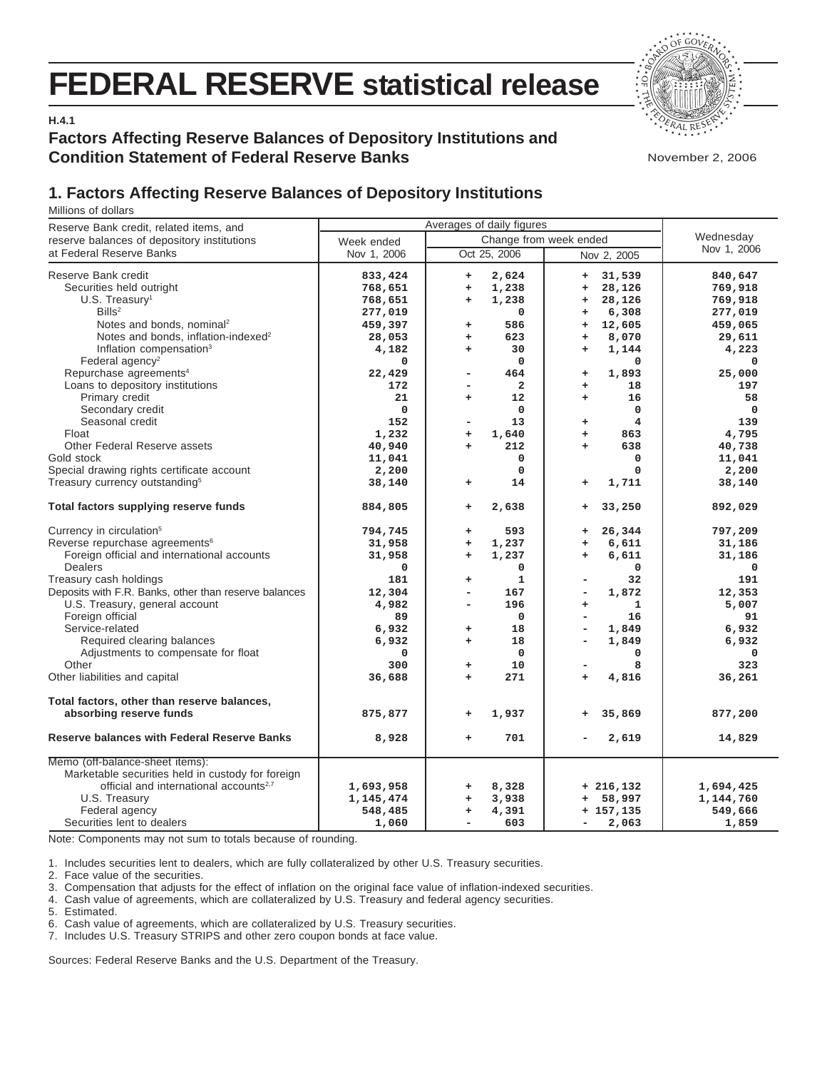# **FEDERAL RESERVE statistical release**



**H.4.1**

## **Factors Affecting Reserve Balances of Depository Institutions and Condition Statement of Federal Reserve Banks**

November 2, 2006

# **1. Factors Affecting Reserve Balances of Depository Institutions**

Millions of dollars

| Reserve Bank credit, related items, and                                                                                                                                                                                                                                                                                                                                                                                 | Averages of daily figures                                                                                |                                                                                                                                                                                                         |                                                                                                                                                                                                                                                                            |                                                                                                                              |
|-------------------------------------------------------------------------------------------------------------------------------------------------------------------------------------------------------------------------------------------------------------------------------------------------------------------------------------------------------------------------------------------------------------------------|----------------------------------------------------------------------------------------------------------|---------------------------------------------------------------------------------------------------------------------------------------------------------------------------------------------------------|----------------------------------------------------------------------------------------------------------------------------------------------------------------------------------------------------------------------------------------------------------------------------|------------------------------------------------------------------------------------------------------------------------------|
| reserve balances of depository institutions                                                                                                                                                                                                                                                                                                                                                                             | Week ended                                                                                               | Wednesday                                                                                                                                                                                               |                                                                                                                                                                                                                                                                            |                                                                                                                              |
| at Federal Reserve Banks                                                                                                                                                                                                                                                                                                                                                                                                | Nov 1, 2006                                                                                              | Oct 25, 2006                                                                                                                                                                                            | Nov 2, 2005                                                                                                                                                                                                                                                                | Nov 1, 2006                                                                                                                  |
| Reserve Bank credit<br>Securities held outright<br>$U.S.$ Treasury <sup>1</sup><br>Bills <sup>2</sup><br>Notes and bonds, nominal <sup>2</sup><br>Notes and bonds, inflation-indexed <sup>2</sup><br>Inflation compensation <sup>3</sup><br>Federal agency <sup>2</sup>                                                                                                                                                 | 833,424<br>768,651<br>768,651<br>277,019<br>459,397<br>28,053<br>4,182<br>0                              | 2,624<br>$\ddot{}$<br>1,238<br>÷<br>1,238<br>$\ddot{}$<br>$\mathbf 0$<br>586<br>$\ddot{}$<br>623<br>$\ddot{}$<br>30<br>$+$<br>$\mathbf 0$                                                               | 31,539<br>$\ddot{}$<br>28,126<br>$\ddot{}$<br>28,126<br>$\ddot{}$<br>6,308<br>$\ddot{}$<br>12,605<br>÷<br>8,070<br>$\ddot{}$<br>1,144<br>$\ddot{}$<br>0                                                                                                                    | 840,647<br>769,918<br>769,918<br>277,019<br>459,065<br>29,611<br>4,223<br>$\mathbf 0$                                        |
| Repurchase agreements <sup>4</sup><br>Loans to depository institutions<br>Primary credit<br>Secondary credit<br>Seasonal credit<br>Float<br><b>Other Federal Reserve assets</b><br>Gold stock<br>Special drawing rights certificate account<br>Treasury currency outstanding <sup>5</sup>                                                                                                                               | 22,429<br>172<br>21<br>0<br>152<br>1,232<br>40,940<br>11,041<br>2,200<br>38,140                          | 464<br>-<br>$\overline{\mathbf{2}}$<br>۰<br>12<br>$\ddot{}$<br>$\mathbf 0$<br>13<br>-<br>1,640<br>$\ddot{}$<br>212<br>÷<br>$\mathbf 0$<br>$\mathbf 0$<br>14<br>÷                                        | 1,893<br>+<br>18<br>$\ddot{}$<br>16<br>$\ddot{}$<br>0<br>4<br>$\begin{array}{c} + \end{array}$<br>863<br>$\ddot{}$<br>638<br>$\ddot{}$<br>0<br>$\mathbf 0$<br>1,711<br>$\ddot{}$                                                                                           | 25,000<br>197<br>58<br>$\Omega$<br>139<br>4,795<br>40,738<br>11,041<br>2,200<br>38,140                                       |
| Total factors supplying reserve funds                                                                                                                                                                                                                                                                                                                                                                                   | 884,805                                                                                                  | 2,638<br>÷                                                                                                                                                                                              | 33,250<br>+                                                                                                                                                                                                                                                                | 892,029                                                                                                                      |
| Currency in circulation <sup>5</sup><br>Reverse repurchase agreements <sup>6</sup><br>Foreign official and international accounts<br>Dealers<br>Treasury cash holdings<br>Deposits with F.R. Banks, other than reserve balances<br>U.S. Treasury, general account<br>Foreign official<br>Service-related<br>Required clearing balances<br>Adjustments to compensate for float<br>Other<br>Other liabilities and capital | 794,745<br>31,958<br>31,958<br>0<br>181<br>12,304<br>4,982<br>89<br>6,932<br>6,932<br>0<br>300<br>36,688 | 593<br>$\ddot{}$<br>1,237<br>$\ddot{}$<br>1,237<br>$\ddot{}$<br>0<br>$\mathbf{1}$<br>÷<br>167<br>L,<br>196<br>۰<br>$\Omega$<br>18<br>$\ddot{}$<br>18<br>÷<br>$\mathbf 0$<br>10<br>+<br>271<br>$\ddot{}$ | 26,344<br>+<br>6,611<br>$\ddot{}$<br>6,611<br>$\ddot{}$<br>0<br>32<br>1,872<br>$\overline{\phantom{a}}$<br>1<br>$\ddot{}$<br>16<br>$\overline{\phantom{a}}$<br>1,849<br>$\overline{\phantom{a}}$<br>1,849<br>$\overline{\phantom{a}}$<br>0<br>8<br>۰<br>4,816<br>$\ddot{}$ | 797,209<br>31,186<br>31,186<br>$\mathbf 0$<br>191<br>12,353<br>5,007<br>91<br>6,932<br>6,932<br>$\mathbf 0$<br>323<br>36,261 |
| Total factors, other than reserve balances,<br>absorbing reserve funds                                                                                                                                                                                                                                                                                                                                                  | 875,877                                                                                                  | 1,937<br>÷                                                                                                                                                                                              | 35,869<br>$\ddot{}$                                                                                                                                                                                                                                                        | 877,200                                                                                                                      |
| <b>Reserve balances with Federal Reserve Banks</b>                                                                                                                                                                                                                                                                                                                                                                      | 8,928                                                                                                    | 701<br>÷                                                                                                                                                                                                | 2,619                                                                                                                                                                                                                                                                      | 14,829                                                                                                                       |
| Memo (off-balance-sheet items):<br>Marketable securities held in custody for foreign<br>official and international accounts <sup>2,7</sup><br>U.S. Treasury<br>Federal agency<br>Securities lent to dealers                                                                                                                                                                                                             | 1,693,958<br>1,145,474<br>548,485<br>1,060                                                               | 8,328<br>÷<br>3,938<br>$\ddot{}$<br>4,391<br>÷<br>603<br>۳                                                                                                                                              | $+216,132$<br>58,997<br>÷<br>$+ 157, 135$<br>2,063<br>$\overline{\phantom{a}}$                                                                                                                                                                                             | 1,694,425<br>1,144,760<br>549,666<br>1,859                                                                                   |

Note: Components may not sum to totals because of rounding.

1. Includes securities lent to dealers, which are fully collateralized by other U.S. Treasury securities.

2. Face value of the securities.

3. Compensation that adjusts for the effect of inflation on the original face value of inflation-indexed securities.

4. Cash value of agreements, which are collateralized by U.S. Treasury and federal agency securities.

5. Estimated.

6. Cash value of agreements, which are collateralized by U.S. Treasury securities.

7. Includes U.S. Treasury STRIPS and other zero coupon bonds at face value.

Sources: Federal Reserve Banks and the U.S. Department of the Treasury.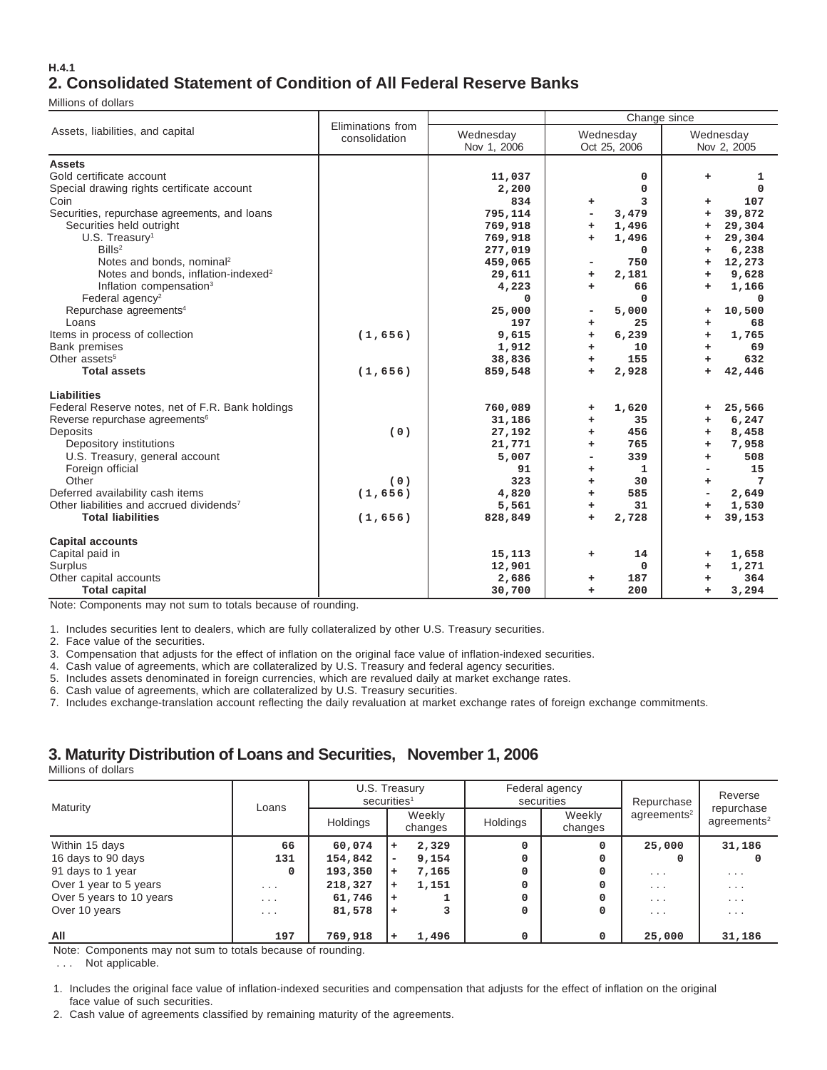#### **H.4.1 2. Consolidated Statement of Condition of All Federal Reserve Banks**

Millions of dollars

|                                                      |                                    |             | Change since                      |                     |  |  |  |  |  |
|------------------------------------------------------|------------------------------------|-------------|-----------------------------------|---------------------|--|--|--|--|--|
| Assets, liabilities, and capital                     | Eliminations from<br>consolidation | Wednesday   | Wednesday                         | Wednesday           |  |  |  |  |  |
|                                                      |                                    | Nov 1, 2006 | Oct 25, 2006                      | Nov 2, 2005         |  |  |  |  |  |
| <b>Assets</b>                                        |                                    |             |                                   |                     |  |  |  |  |  |
| Gold certificate account                             |                                    | 11,037      | $\mathbf 0$                       | ÷<br>1              |  |  |  |  |  |
| Special drawing rights certificate account           |                                    | 2,200       | $\mathbf 0$                       | 0                   |  |  |  |  |  |
| Coin                                                 |                                    | 834         | 3<br>÷.                           | 107<br>÷            |  |  |  |  |  |
| Securities, repurchase agreements, and loans         |                                    | 795,114     | 3,479<br>$\overline{\phantom{0}}$ | 39,872<br>÷         |  |  |  |  |  |
| Securities held outright                             |                                    | 769,918     | 1,496<br>÷.                       | 29,304<br>÷         |  |  |  |  |  |
| $U.S.$ Treasury <sup>1</sup>                         |                                    | 769,918     | 1,496<br>÷                        | 29,304<br>÷         |  |  |  |  |  |
| Bills <sup>2</sup>                                   |                                    | 277,019     | $\mathbf 0$                       | 6,238<br>÷          |  |  |  |  |  |
| Notes and bonds, nominal <sup>2</sup>                |                                    | 459,065     | 750                               | 12,273<br>÷         |  |  |  |  |  |
| Notes and bonds, inflation-indexed <sup>2</sup>      |                                    | 29,611      | 2,181<br>÷.                       | 9,628<br>÷          |  |  |  |  |  |
| Inflation compensation <sup>3</sup>                  |                                    | 4,223       | 66<br>÷.                          | 1,166<br>÷          |  |  |  |  |  |
| Federal agency <sup>2</sup>                          |                                    | $\Omega$    | $\Omega$                          | $\Omega$            |  |  |  |  |  |
| Repurchase agreements <sup>4</sup>                   |                                    | 25,000      | 5,000<br>۰                        | 10,500<br>$\ddot{}$ |  |  |  |  |  |
| Loans                                                |                                    | 197         | 25<br>+                           | 68<br>÷             |  |  |  |  |  |
| Items in process of collection                       | (1,656)                            | 9,615       | 6,239<br>÷.                       | 1,765<br>÷          |  |  |  |  |  |
| <b>Bank premises</b>                                 |                                    | 1,912       | 10<br>$+$                         | 69<br>÷             |  |  |  |  |  |
| Other assets <sup>5</sup>                            |                                    | 38,836      | 155<br>$+$                        | 632<br>÷            |  |  |  |  |  |
| <b>Total assets</b>                                  | (1,656)                            | 859,548     | 2,928<br>$\ddot{}$                | 42,446<br>$\ddot{}$ |  |  |  |  |  |
| Liabilities                                          |                                    |             |                                   |                     |  |  |  |  |  |
| Federal Reserve notes, net of F.R. Bank holdings     |                                    | 760,089     | 1,620<br>÷.                       | 25,566<br>$\ddot{}$ |  |  |  |  |  |
| Reverse repurchase agreements <sup>6</sup>           |                                    | 31,186      | 35<br>÷.                          | 6,247<br>÷          |  |  |  |  |  |
| Deposits                                             | (0)                                | 27,192      | 456<br>÷.                         | 8,458<br>÷          |  |  |  |  |  |
| Depository institutions                              |                                    | 21,771      | 765<br>÷.                         | 7,958<br>÷          |  |  |  |  |  |
| U.S. Treasury, general account                       |                                    | 5,007       | 339                               | 508<br>÷            |  |  |  |  |  |
| Foreign official                                     |                                    | 91          | $\mathbf{1}$<br>÷                 | 15                  |  |  |  |  |  |
| Other                                                | (0)                                | 323         | 30<br>÷.                          | 7<br>÷              |  |  |  |  |  |
| Deferred availability cash items                     | (1,656)                            | 4,820       | 585<br>$+$                        | 2,649<br>-          |  |  |  |  |  |
| Other liabilities and accrued dividends <sup>7</sup> |                                    | 5,561       | 31<br>+                           | 1,530<br>÷          |  |  |  |  |  |
| <b>Total liabilities</b>                             | (1,656)                            | 828,849     | 2,728<br>÷.                       | 39,153<br>÷         |  |  |  |  |  |
| <b>Capital accounts</b>                              |                                    |             |                                   |                     |  |  |  |  |  |
| Capital paid in                                      |                                    | 15,113      | 14<br>+                           | 1,658<br>÷          |  |  |  |  |  |
| Surplus                                              |                                    | 12,901      | 0                                 | 1,271<br>÷          |  |  |  |  |  |
| Other capital accounts                               |                                    | 2,686       | 187<br>÷                          | 364                 |  |  |  |  |  |
| <b>Total capital</b>                                 |                                    | 30,700      | 200<br>÷                          | 3,294<br>÷          |  |  |  |  |  |

Note: Components may not sum to totals because of rounding.

1. Includes securities lent to dealers, which are fully collateralized by other U.S. Treasury securities.

2. Face value of the securities.

3. Compensation that adjusts for the effect of inflation on the original face value of inflation-indexed securities.

4. Cash value of agreements, which are collateralized by U.S. Treasury and federal agency securities.

5. Includes assets denominated in foreign currencies, which are revalued daily at market exchange rates.

6. Cash value of agreements, which are collateralized by U.S. Treasury securities.

7. Includes exchange-translation account reflecting the daily revaluation at market exchange rates of foreign exchange commitments.

### **3. Maturity Distribution of Loans and Securities, November 1, 2006**

Millions of dollars

| Maturity                 |                         | U.S. Treasury<br>securities <sup>1</sup> |           |                   |          | Federal agency<br>securities | Repurchase              | Reverse<br>repurchase<br>agreements <sup>2</sup> |  |
|--------------------------|-------------------------|------------------------------------------|-----------|-------------------|----------|------------------------------|-------------------------|--------------------------------------------------|--|
|                          | Loans                   | Holdings                                 |           | Weekly<br>changes | Holdings | Weekly<br>changes            | agreements <sup>2</sup> |                                                  |  |
| Within 15 days           | 66                      | 60,074                                   | ÷         | 2,329             |          | <sup>0</sup>                 | 25,000                  | 31,186                                           |  |
| 16 days to 90 days       | 131                     | 154,842                                  | ۰         | 9,154             |          |                              |                         |                                                  |  |
| 91 days to 1 year        | 0                       | 193,350                                  | $\ddot{}$ | 7,165             |          |                              | $\cdot$ $\cdot$ $\cdot$ | $\cdot$ $\cdot$ $\cdot$                          |  |
| Over 1 year to 5 years   | $\cdots$                | 218,327                                  | ÷         | 1,151             |          |                              | $\cdots$                | $\cdots$                                         |  |
| Over 5 years to 10 years | .                       | 61,746                                   | ÷         |                   |          |                              | $\cdot$ $\cdot$ $\cdot$ | $\cdot$ $\cdot$ $\cdot$                          |  |
| Over 10 years            | $\cdot$ $\cdot$ $\cdot$ | 81,578                                   | ÷         |                   |          |                              | $\cdot$ $\cdot$ $\cdot$ | $\cdot$ $\cdot$ $\cdot$                          |  |
| All                      | 197                     | 769,918                                  |           | 1,496             |          |                              | 25,000                  | 31,186                                           |  |

Note: Components may not sum to totals because of rounding.

. . . Not applicable.

1. Includes the original face value of inflation-indexed securities and compensation that adjusts for the effect of inflation on the original face value of such securities.

2. Cash value of agreements classified by remaining maturity of the agreements.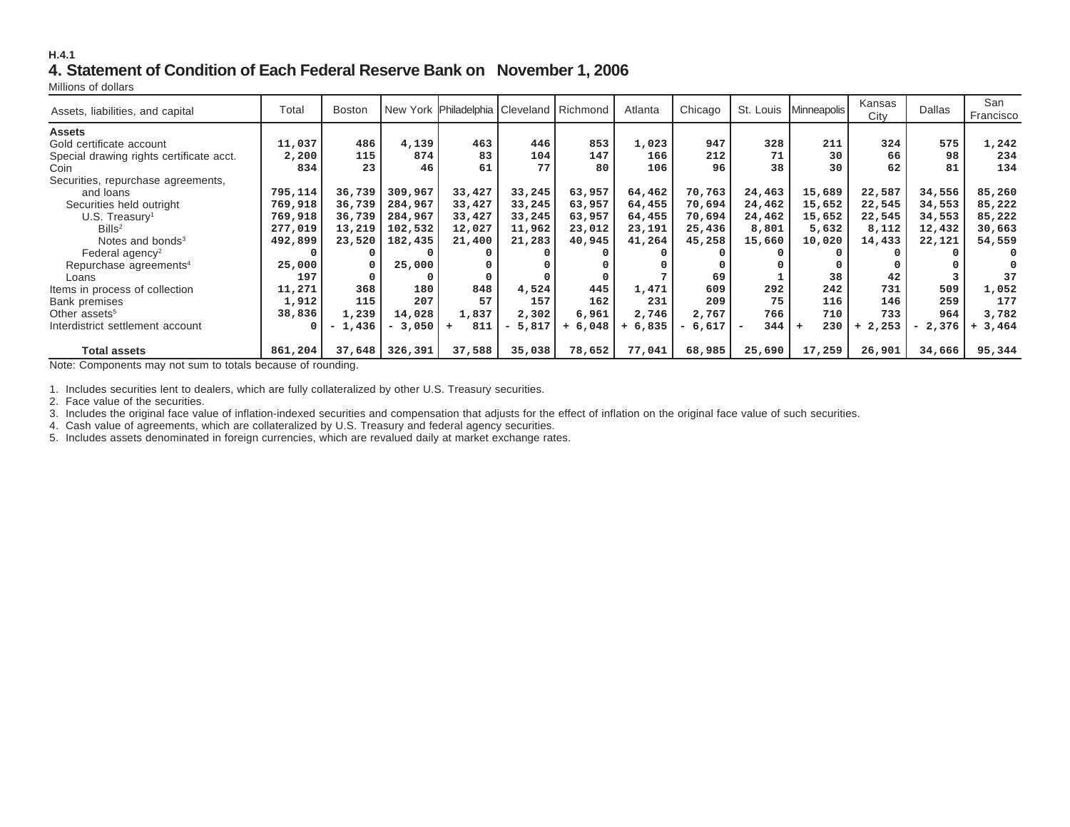#### **H.4.14. Statement of Condition of Each Federal Reserve Bank on November 1, 2006**

Millions of dollars

| Assets, liabilities, and capital         | Total   | <b>Boston</b> |             | New York Philadelphia Cleveland   Richmond |                                   |           | Atlanta   | Chicago | St. Louis                       | Minneapolis | Kansas<br>City | <b>Dallas</b> | San<br>Francisco |
|------------------------------------------|---------|---------------|-------------|--------------------------------------------|-----------------------------------|-----------|-----------|---------|---------------------------------|-------------|----------------|---------------|------------------|
| <b>Assets</b>                            |         |               |             |                                            |                                   |           |           |         |                                 |             |                |               |                  |
| Gold certificate account                 | 11,037  | 486           | 4,139       | 463                                        | 446                               | 853       | 1,023     | 947     | 328                             | 211         | 324            | 575           | 1,242            |
| Special drawing rights certificate acct. | 2,200   | 115           | 874         | 83                                         | 104                               | 147       | 166       | 212     | 71                              | 30          | 66             | 98            | 234              |
| Coin                                     | 834     | 23            | 46          | 61                                         | 77                                | 80        | 106       | 96      | 38                              | 30          | 62             | 81            | 134              |
| Securities, repurchase agreements,       |         |               |             |                                            |                                   |           |           |         |                                 |             |                |               |                  |
| and loans                                | 795,114 | 36,739        | 309,967     | 33,427                                     | 33,245                            | 63,957    | 64,462    | 70,763  | 24,463                          | 15,689      | 22,587         | 34,556        | 85,260           |
| Securities held outright                 | 769,918 | 36,739        | 284,967     | 33,427                                     | 33,245                            | 63,957    | 64,455    | 70,694  | 24,462                          | 15,652      | 22,545         | 34,553        | 85,222           |
| $U.S.$ Treasury <sup>1</sup>             | 769,918 | 36,739        | 284,967     | 33,427                                     | 33,245                            | 63,957    | 64,455    | 70,694  | 24,462                          | 15,652      | 22,545         | 34,553        | 85,222           |
| Bills <sup>2</sup>                       | 277,019 | 13,219        | 102,532     | 12,027                                     | 11,962                            | 23,012    | 23,191    | 25,436  | 8,801                           | 5,632       | 8,112          | 12,432        | 30,663           |
| Notes and bonds <sup>3</sup>             | 492,899 | 23,520        | 182,435     | 21,400                                     | 21,283                            | 40,945    | 41,264    | 45,258  | 15,660                          | 10,020      | 14,433         | 22,121        | 54,559           |
| Federal agency <sup>2</sup>              |         |               | 0           |                                            |                                   |           |           |         |                                 |             |                |               | $\Omega$         |
| Repurchase agreements <sup>4</sup>       | 25,000  |               | 25,000      |                                            |                                   |           |           |         |                                 |             |                |               |                  |
| Loans                                    | 197     |               |             |                                            |                                   |           |           | 69      |                                 | 38          | 42             |               | 37               |
| Items in process of collection           | 11,271  | 368           | 180         | 848                                        | 4,524                             | 445       | 1,471     | 609     | 292                             | 242         | 731            | 509           | 1,052            |
| Bank premises                            | 1,912   | 115           | 207         | 57                                         | 157                               | 162       | 231       | 209     | 75                              | 116         | 146            | 259           | 177              |
| Other assets <sup>5</sup>                | 38,836  | 1,239         | 14,028      | 1,837                                      | 2,302                             | 6,961     | 2,746     | 2,767   | 766                             | 710         | 733            | 964           | 3,782            |
| Interdistrict settlement account         |         | 1,436<br>- 1  | 3,050<br>۰. | 811<br>$+$                                 | 5,817<br>$\overline{\phantom{a}}$ | $+ 6,048$ | $+ 6,835$ | 6,617   | 344<br>$\overline{\phantom{0}}$ | 230         | 2,253          | 2,376<br>۰.   | 3,464<br>$+$     |
|                                          |         |               |             |                                            |                                   |           |           |         |                                 |             |                |               |                  |
| <b>Total assets</b>                      | 861,204 | 37,648        | 326,391     | 37,588                                     | 35,038                            | 78,652    | 77,041    | 68,985  | 25,690                          | 17,259      | 26,901         | 34,666        | 95,344           |

Note: Components may not sum to totals because of rounding.

1. Includes securities lent to dealers, which are fully collateralized by other U.S. Treasury securities.

2. Face value of the securities.

3. Includes the original face value of inflation-indexed securities and compensation that adjusts for the effect of inflation on the original face value of such securities.<br>4. Cash value of agreements, which are collatera